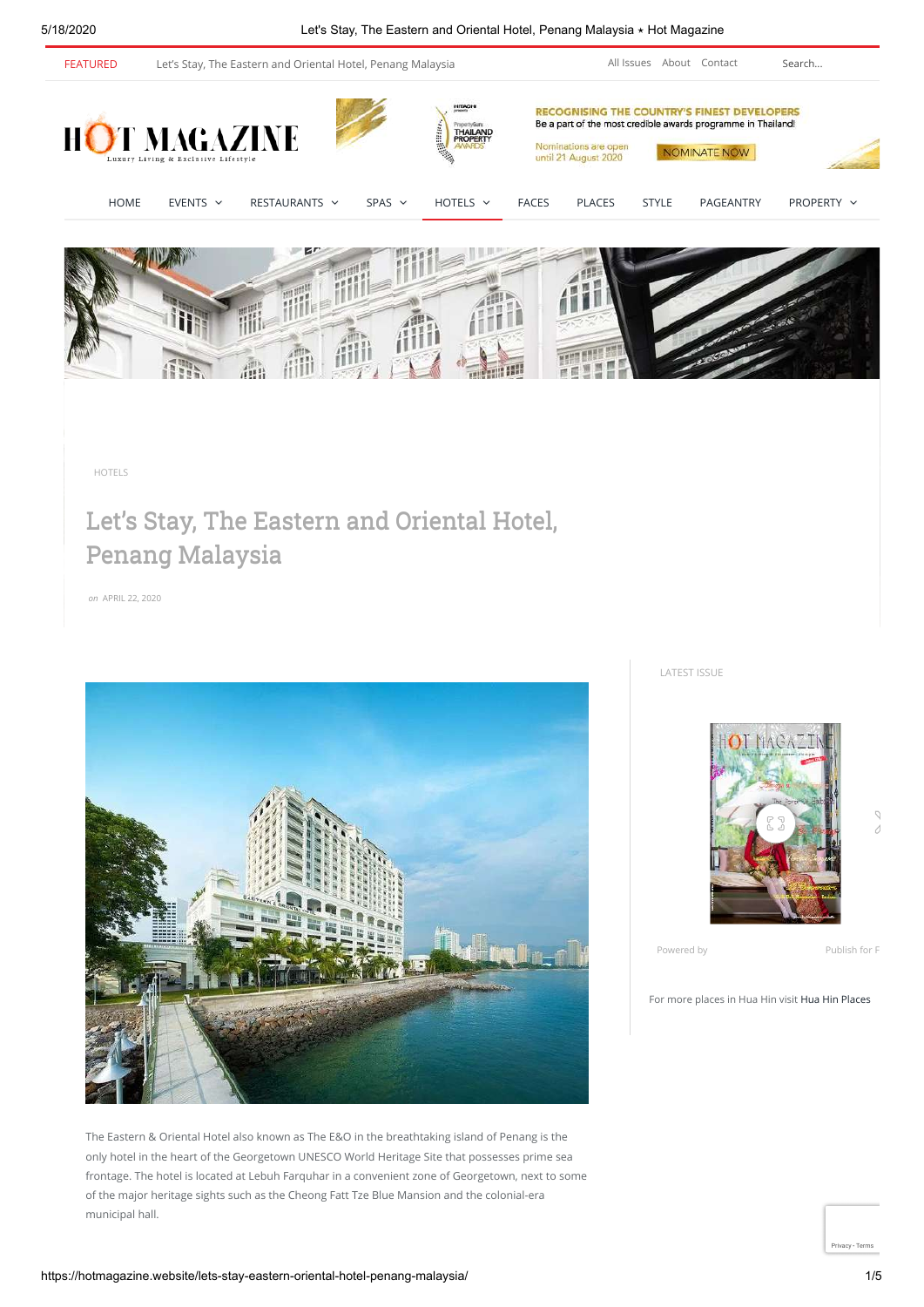5/18/2020 Let's Stay, The Eastern and Oriental Hotel, Penang Malaysia ⋆ Hot Magazine



[HOTELS](https://hotmagazine.website/category/best-hotels/)

# Let's Stay, The Eastern and Oriental Hotel, Penang Malaysia

*on* APRIL 22, 2020



The Eastern & Oriental Hotel also known as The E&O in the breathtaking island of Penang is the only hotel in the heart of the Georgetown UNESCO World Heritage Site that possesses prime sea frontage. The hotel is located at Lebuh Farquhar in a convenient zone of Georgetown, next to some of the major heritage sights such as the Cheong Fatt Tze Blue Mansion and the colonial-era municipal hall.

LATEST ISSUE



Powered by [Publish for F](https://issuu.com/tryissuu?embed_cta=publish_for_free&embed_context=embed&embed_domain=hotmagazine.website)

For more places in Hua Hin visit [Hua Hin Places](https://huahinplaces.com/)

[Privacy](https://www.google.com/intl/en/policies/privacy/) - [Terms](https://www.google.com/intl/en/policies/terms/)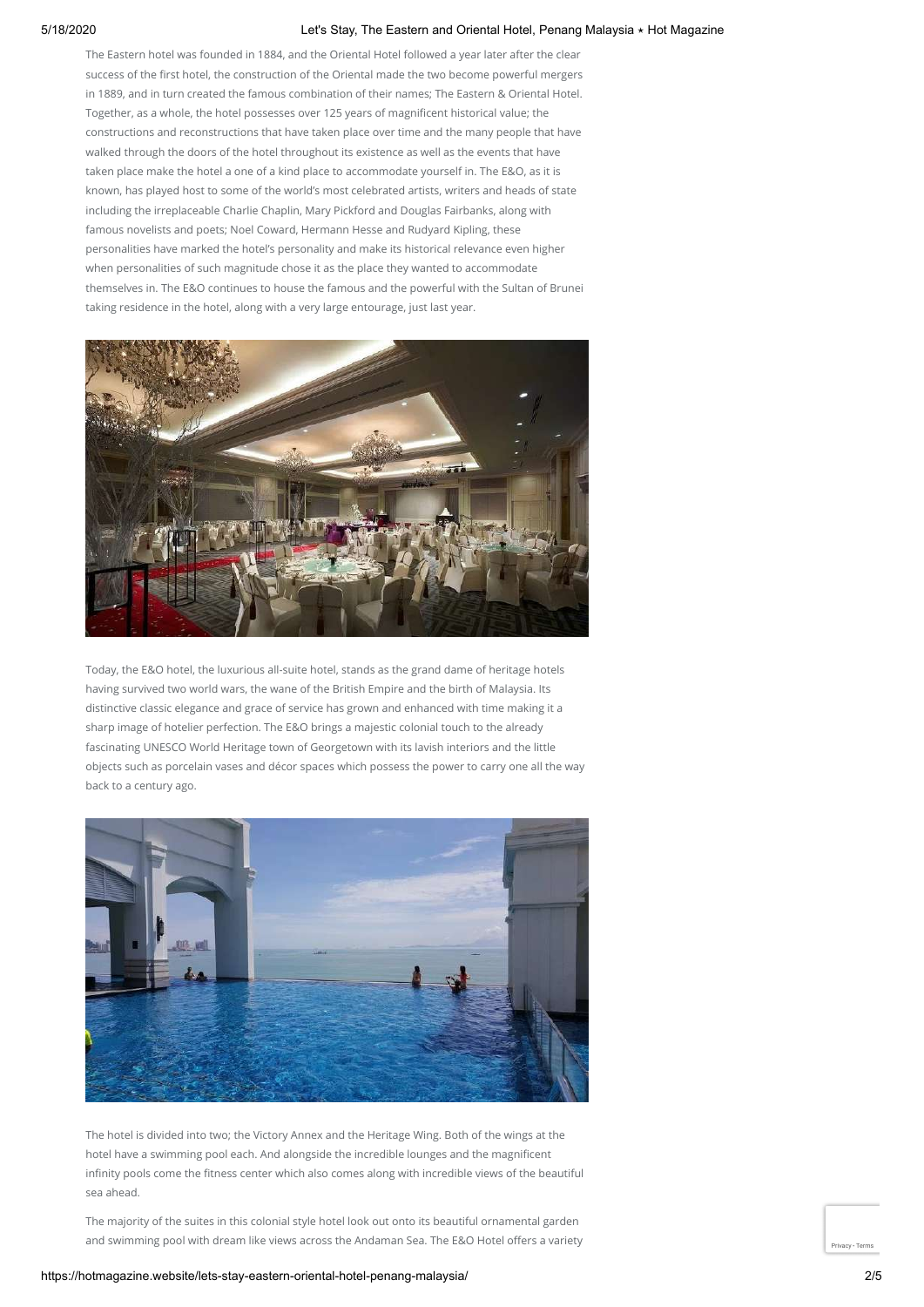## 5/18/2020 Let's Stay, The Eastern and Oriental Hotel, Penang Malaysia ⋆ Hot Magazine

The Eastern hotel was founded in 1884, and the Oriental Hotel followed a year later after the clear success of the first hotel, the construction of the Oriental made the two become powerful mergers in 1889, and in turn created the famous combination of their names; The Eastern & Oriental Hotel. Together, as a whole, the hotel possesses over 125 years of magnificent historical value; the constructions and reconstructions that have taken place over time and the many people that have walked through the doors of the hotel throughout its existence as well as the events that have taken place make the hotel a one of a kind place to accommodate yourself in. The E&O, as it is known, has played host to some of the world's most celebrated artists, writers and heads of state including the irreplaceable Charlie Chaplin, Mary Pickford and Douglas Fairbanks, along with famous novelists and poets; Noel Coward, Hermann Hesse and Rudyard Kipling, these personalities have marked the hotel's personality and make its historical relevance even higher when personalities of such magnitude chose it as the place they wanted to accommodate themselves in. The E&O continues to house the famous and the powerful with the Sultan of Brunei taking residence in the hotel, along with a very large entourage, just last year.



Today, the E&O hotel, the luxurious all-suite hotel, stands as the grand dame of heritage hotels having survived two world wars, the wane of the British Empire and the birth of Malaysia. Its distinctive classic elegance and grace of service has grown and enhanced with time making it a sharp image of hotelier perfection. The E&O brings a majestic colonial touch to the already fascinating UNESCO World Heritage town of Georgetown with its lavish interiors and the little objects such as porcelain vases and décor spaces which possess the power to carry one all the way back to a century ago.



The hotel is divided into two; the Victory Annex and the Heritage Wing. Both of the wings at the hotel have a swimming pool each. And alongside the incredible lounges and the magnificent infinity pools come the fitness center which also comes along with incredible views of the beautiful sea ahead.

The majority of the suites in this colonial style hotel look out onto its beautiful ornamental garden and swimming pool with dream like views across the Andaman Sea. The E&O Hotel offers a variety  $\Box$  [Privacy](https://www.google.com/intl/en/policies/privacy/) - [Terms](https://www.google.com/intl/en/policies/terms/)ey - Termsey - Termsey - Termsey - Termsey - Termsey - Termsey - Termsey - Termsey - Termsey - Termsey - T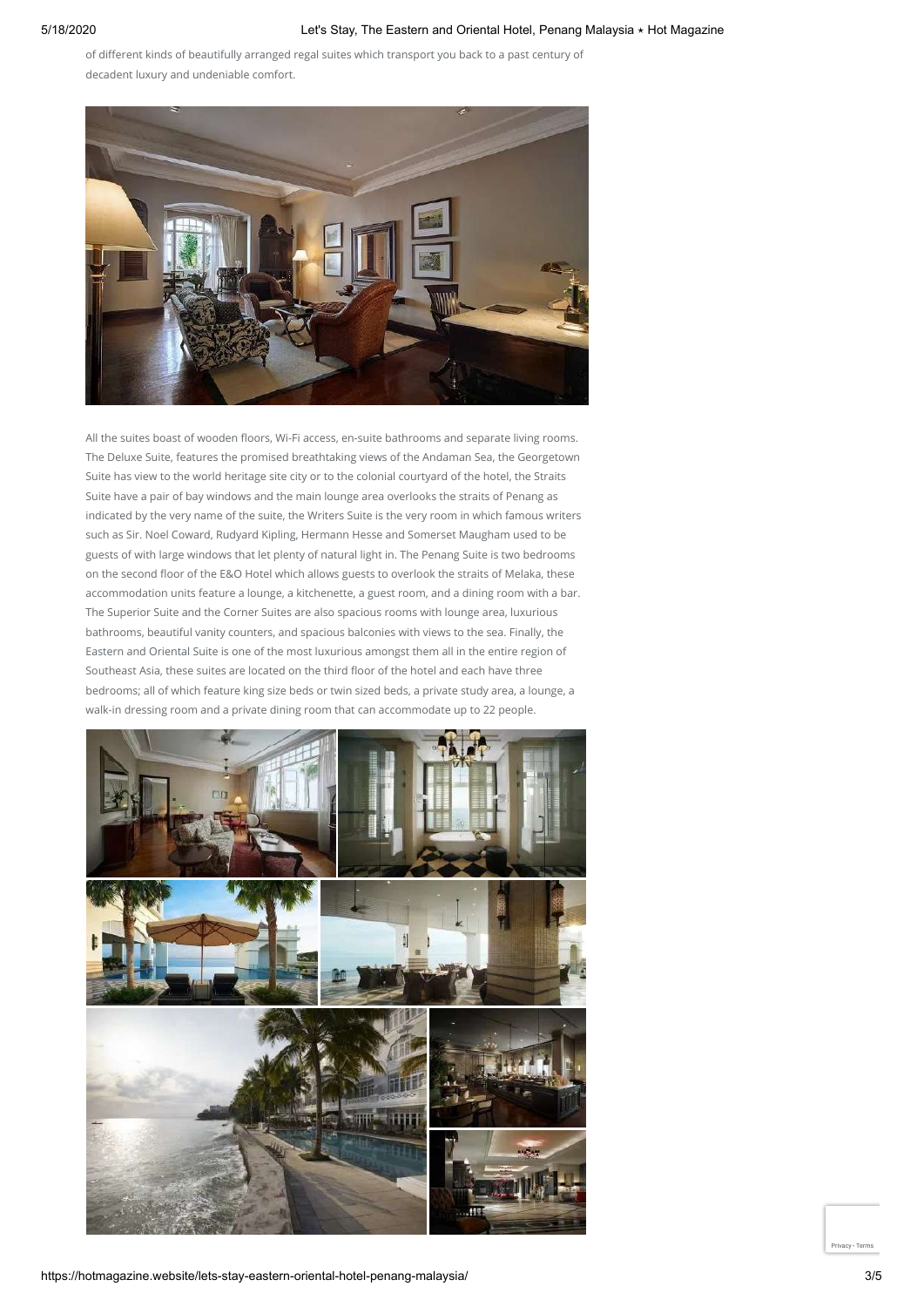of different kinds of beautifully arranged regal suites which transport you back to a past century of decadent luxury and undeniable comfort.



All the suites boast of wooden floors, Wi-Fi access, en-suite bathrooms and separate living rooms. The Deluxe Suite, features the promised breathtaking views of the Andaman Sea, the Georgetown Suite has view to the world heritage site city or to the colonial courtyard of the hotel, the Straits Suite have a pair of bay windows and the main lounge area overlooks the straits of Penang as indicated by the very name of the suite, the Writers Suite is the very room in which famous writers such as Sir. Noel Coward, Rudyard Kipling, Hermann Hesse and Somerset Maugham used to be guests of with large windows that let plenty of natural light in. The Penang Suite is two bedrooms on the second floor of the E&O Hotel which allows guests to overlook the straits of Melaka, these accommodation units feature a lounge, a kitchenette, a guest room, and a dining room with a bar. The Superior Suite and the Corner Suites are also spacious rooms with lounge area, luxurious bathrooms, beautiful vanity counters, and spacious balconies with views to the sea. Finally, the Eastern and Oriental Suite is one of the most luxurious amongst them all in the entire region of Southeast Asia, these suites are located on the third floor of the hotel and each have three bedrooms; all of which feature king size beds or twin sized beds, a private study area, a lounge, a walk-in dressing room and a private dining room that can accommodate up to 22 people.



[Privacy](https://www.google.com/intl/en/policies/privacy/) - [Terms](https://www.google.com/intl/en/policies/terms/)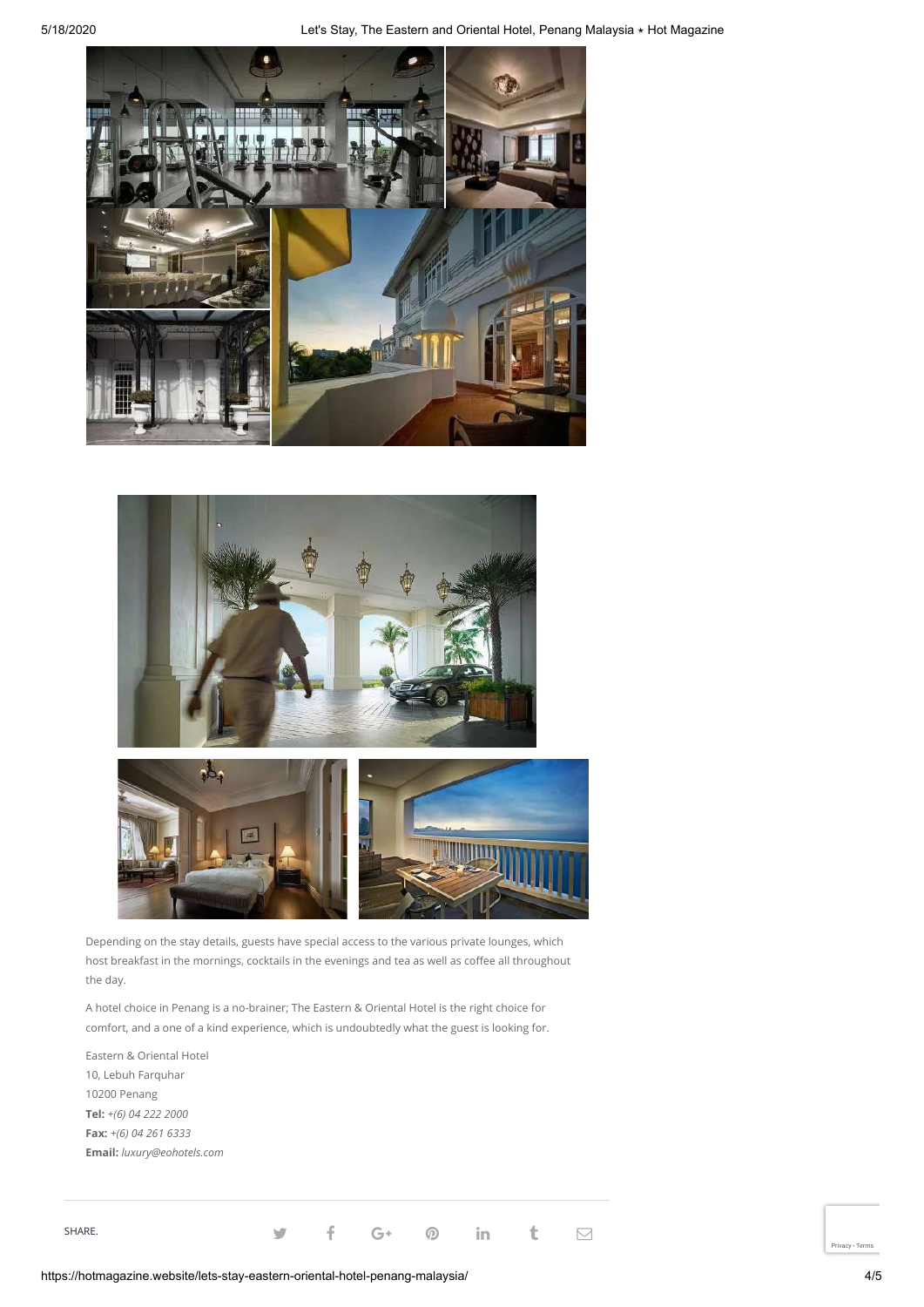





Depending on the stay details, guests have special access to the various private lounges, which host breakfast in the mornings, cocktails in the evenings and tea as well as coffee all throughout the day.

A hotel choice in Penang is a no-brainer; The Eastern & Oriental Hotel is the right choice for comfort, and a one of a kind experience, which is undoubtedly what the guest is looking for.

Eastern & Oriental Hotel 10, Lebuh Farquhar 10200 Penang **Tel:** *+(6) 04 222 2000* **Fax:** *+(6) 04 261 6333* **Email:** *luxury@eohotels.com*

SHARE. SHARE. Set  $\mathcal{S}$  in t  $\Box$ 

https://hotmagazine.website/lets-stay-eastern-oriental-hotel-penang-malaysia/ 4/5